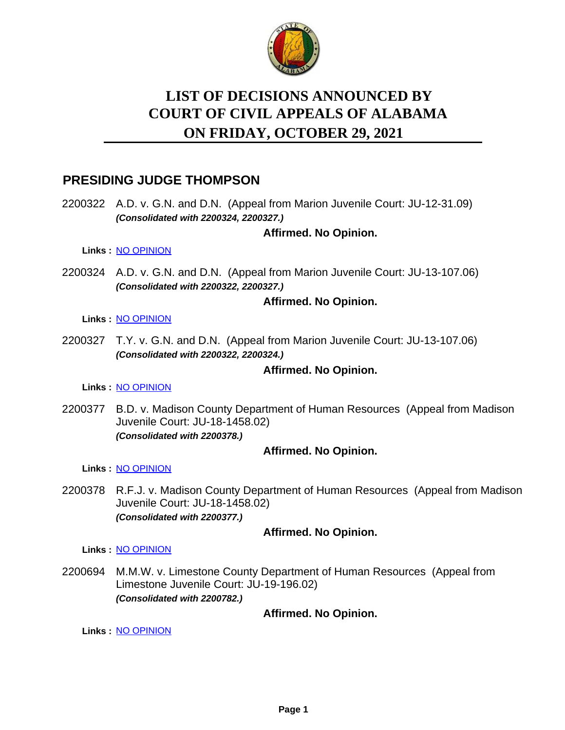

# **LIST OF DECISIONS ANNOUNCED BY ON FRIDAY, OCTOBER 29, 2021 COURT OF CIVIL APPEALS OF ALABAMA**

# **PRESIDING JUDGE THOMPSON**

2200322 A.D. v. G.N. and D.N. (Appeal from Marion Juvenile Court: JU-12-31.09) *(Consolidated with 2200324, 2200327.)*

# **Affirmed. No Opinion.**

**Links :** [NO OPINION](https://acis.alabama.gov/displaydocs.cfm?no=1105243&event=66H0JXN1S)

2200324 A.D. v. G.N. and D.N. (Appeal from Marion Juvenile Court: JU-13-107.06) *(Consolidated with 2200322, 2200327.)*

# **Affirmed. No Opinion.**

**Links :** [NO OPINION](https://acis.alabama.gov/displaydocs.cfm?no=1105243&event=66H0JXN1S)

2200327 T.Y. v. G.N. and D.N. (Appeal from Marion Juvenile Court: JU-13-107.06) *(Consolidated with 2200322, 2200324.)*

# **Affirmed. No Opinion.**

**Links :** [NO OPINION](https://acis.alabama.gov/displaydocs.cfm?no=1105243&event=66H0JXN1S)

2200377 B.D. v. Madison County Department of Human Resources (Appeal from Madison Juvenile Court: JU-18-1458.02) *(Consolidated with 2200378.)*

# **Affirmed. No Opinion.**

**Links :** [NO OPINION](https://acis.alabama.gov/displaydocs.cfm?no=1105245&event=66H0JXN81)

2200378 R.F.J. v. Madison County Department of Human Resources (Appeal from Madison Juvenile Court: JU-18-1458.02) *(Consolidated with 2200377.)*

# **Affirmed. No Opinion.**

**Links :** [NO OPINION](https://acis.alabama.gov/displaydocs.cfm?no=1105245&event=66H0JXN81)

2200694 M.M.W. v. Limestone County Department of Human Resources (Appeal from Limestone Juvenile Court: JU-19-196.02) *(Consolidated with 2200782.)*

# **Affirmed. No Opinion.**

**Links :** [NO OPINION](https://acis.alabama.gov/displaydocs.cfm?no=1105248&event=66H0JXNGH)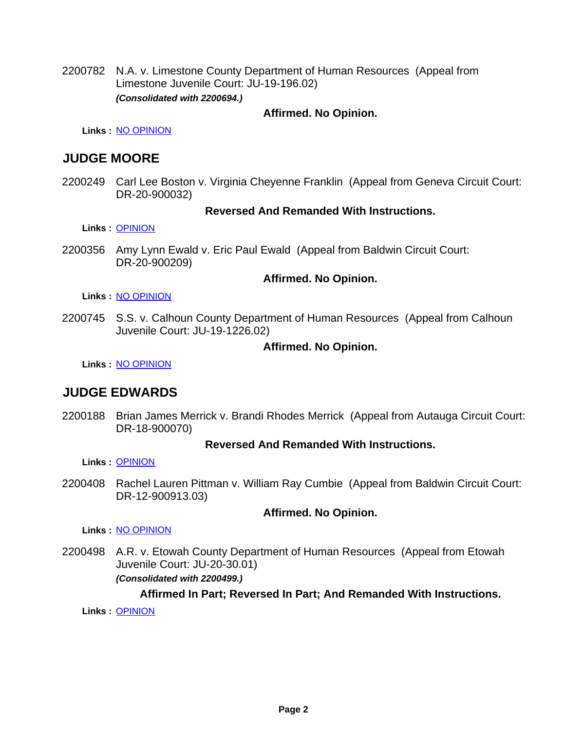2200782 N.A. v. Limestone County Department of Human Resources (Appeal from Limestone Juvenile Court: JU-19-196.02) *(Consolidated with 2200694.)*

## **Affirmed. No Opinion.**

**Links :** [NO OPINION](https://acis.alabama.gov/displaydocs.cfm?no=1105248&event=66H0JXNGH)

# **JUDGE MOORE**

2200249 Carl Lee Boston v. Virginia Cheyenne Franklin (Appeal from Geneva Circuit Court: DR-20-900032)

#### **Reversed And Remanded With Instructions.**

**Links :** [OPINION](https://acis.alabama.gov/displaydocs.cfm?no=1105241&event=66H0JXMLU)

2200356 Amy Lynn Ewald v. Eric Paul Ewald (Appeal from Baldwin Circuit Court: DR-20-900209)

#### **Affirmed. No Opinion.**

**Links :** [NO OPINION](https://acis.alabama.gov/displaydocs.cfm?no=1105244&event=66H0JXN5G)

2200745 S.S. v. Calhoun County Department of Human Resources (Appeal from Calhoun Juvenile Court: JU-19-1226.02)

#### **Affirmed. No Opinion.**

**Links :** [NO OPINION](https://acis.alabama.gov/displaydocs.cfm?no=1105249&event=66H0JXNK3)

# **JUDGE EDWARDS**

2200188 Brian James Merrick v. Brandi Rhodes Merrick (Appeal from Autauga Circuit Court: DR-18-900070)

#### **Reversed And Remanded With Instructions.**

**Links :** [OPINION](https://acis.alabama.gov/displaydocs.cfm?no=1105240&event=66H0JXMJH)

2200408 Rachel Lauren Pittman v. William Ray Cumbie (Appeal from Baldwin Circuit Court: DR-12-900913.03)

#### **Affirmed. No Opinion.**

**Links :** [NO OPINION](https://acis.alabama.gov/displaydocs.cfm?no=1105246&event=66H0JXNBO)

2200498 A.R. v. Etowah County Department of Human Resources (Appeal from Etowah Juvenile Court: JU-20-30.01) *(Consolidated with 2200499.)*

# **Affirmed In Part; Reversed In Part; And Remanded With Instructions.**

**Links :** [OPINION](https://acis.alabama.gov/displaydocs.cfm?no=1105242&event=66H0JXMON)